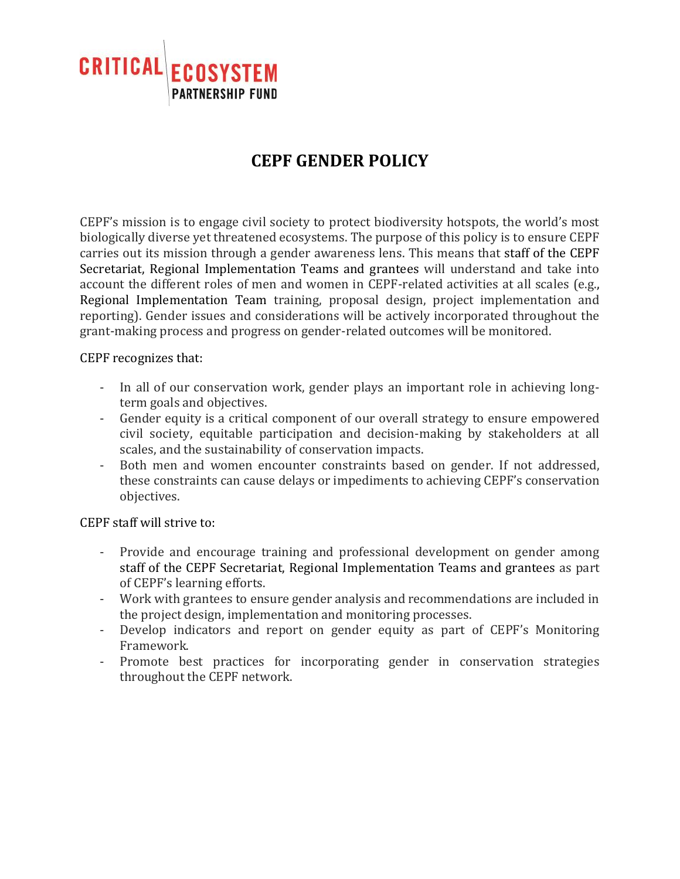

## **CEPF GENDER POLICY**

CEPF's mission is to engage civil society to protect biodiversity hotspots, the world's most biologically diverse yet threatened ecosystems. The purpose of this policy is to ensure CEPF carries out its mission through a gender awareness lens. This means that staff of the CEPF Secretariat, Regional Implementation Teams and grantees will understand and take into account the different roles of men and women in CEPF-related activities at all scales (e.g., Regional Implementation Team training, proposal design, project implementation and reporting). Gender issues and considerations will be actively incorporated throughout the grant-making process and progress on gender-related outcomes will be monitored.

CEPF recognizes that:

- In all of our conservation work, gender plays an important role in achieving longterm goals and objectives.
- Gender equity is a critical component of our overall strategy to ensure empowered civil society, equitable participation and decision-making by stakeholders at all scales, and the sustainability of conservation impacts.
- Both men and women encounter constraints based on gender. If not addressed, these constraints can cause delays or impediments to achieving CEPF's conservation objectives.

CEPF staff will strive to:

- Provide and encourage training and professional development on gender among staff of the CEPF Secretariat, Regional Implementation Teams and grantees as part of CEPF's learning efforts.
- Work with grantees to ensure gender analysis and recommendations are included in the project design, implementation and monitoring processes.
- Develop indicators and report on gender equity as part of CEPF's Monitoring Framework.
- Promote best practices for incorporating gender in conservation strategies throughout the CEPF network.